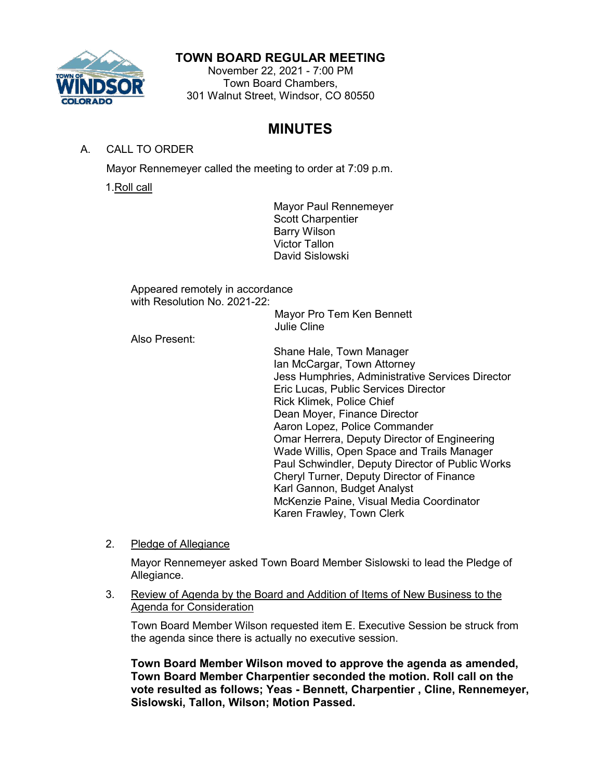

# **TOWN BOARD REGULAR MEETING**

November 22, 2021 - 7:00 PM Town Board Chambers, 301 Walnut Street, Windsor, CO 80550

# **MINUTES**

## A. CALL TO ORDER

Mayor Rennemeyer called the meeting to order at 7:09 p.m.

1.Roll call

Mayor Paul Rennemeyer Scott Charpentier Barry Wilson Victor Tallon David Sislowski

Appeared remotely in accordance with Resolution No. 2021-22:

Mayor Pro Tem Ken Bennett Julie Cline

Also Present:

Shane Hale, Town Manager Ian McCargar, Town Attorney Jess Humphries, Administrative Services Director Eric Lucas, Public Services Director Rick Klimek, Police Chief Dean Moyer, Finance Director Aaron Lopez, Police Commander Omar Herrera, Deputy Director of Engineering Wade Willis, Open Space and Trails Manager Paul Schwindler, Deputy Director of Public Works Cheryl Turner, Deputy Director of Finance Karl Gannon, Budget Analyst McKenzie Paine, Visual Media Coordinator Karen Frawley, Town Clerk

2. Pledge of Allegiance

Mayor Rennemeyer asked Town Board Member Sislowski to lead the Pledge of Allegiance.

## 3. Review of Agenda by the Board and Addition of Items of New Business to the Agenda for Consideration

Town Board Member Wilson requested item E. Executive Session be struck from the agenda since there is actually no executive session.

**Town Board Member Wilson moved to approve the agenda as amended, Town Board Member Charpentier seconded the motion. Roll call on the vote resulted as follows; Yeas - Bennett, Charpentier , Cline, Rennemeyer, Sislowski, Tallon, Wilson; Motion Passed.**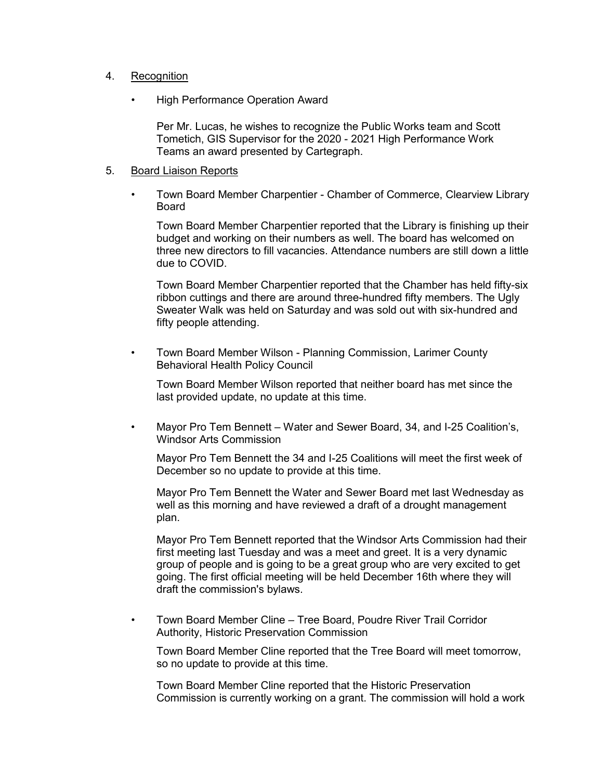### 4. Recognition

• High Performance Operation Award

Per Mr. Lucas, he wishes to recognize the Public Works team and Scott Tometich, GIS Supervisor for the 2020 - 2021 High Performance Work Teams an award presented by Cartegraph.

#### 5. Board Liaison Reports

• Town Board Member Charpentier - Chamber of Commerce, Clearview Library Board

Town Board Member Charpentier reported that the Library is finishing up their budget and working on their numbers as well. The board has welcomed on three new directors to fill vacancies. Attendance numbers are still down a little due to COVID.

Town Board Member Charpentier reported that the Chamber has held fifty-six ribbon cuttings and there are around three-hundred fifty members. The Ugly Sweater Walk was held on Saturday and was sold out with six-hundred and fifty people attending.

• Town Board Member Wilson - Planning Commission, Larimer County Behavioral Health Policy Council

Town Board Member Wilson reported that neither board has met since the last provided update, no update at this time.

• Mayor Pro Tem Bennett – Water and Sewer Board, 34, and I-25 Coalition's, Windsor Arts Commission

Mayor Pro Tem Bennett the 34 and I-25 Coalitions will meet the first week of December so no update to provide at this time.

Mayor Pro Tem Bennett the Water and Sewer Board met last Wednesday as well as this morning and have reviewed a draft of a drought management plan.

Mayor Pro Tem Bennett reported that the Windsor Arts Commission had their first meeting last Tuesday and was a meet and greet. It is a very dynamic group of people and is going to be a great group who are very excited to get going. The first official meeting will be held December 16th where they will draft the commission's bylaws.

• Town Board Member Cline – Tree Board, Poudre River Trail Corridor Authority, Historic Preservation Commission

Town Board Member Cline reported that the Tree Board will meet tomorrow, so no update to provide at this time.

Town Board Member Cline reported that the Historic Preservation Commission is currently working on a grant. The commission will hold a work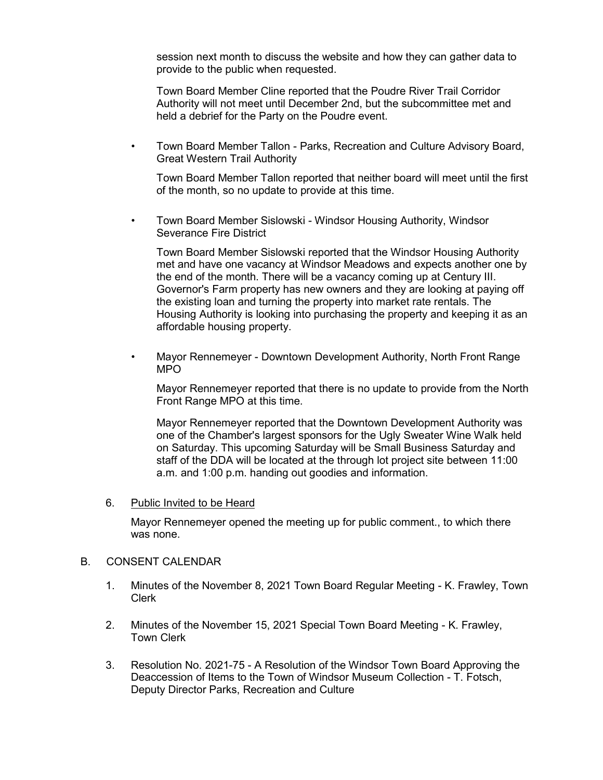session next month to discuss the website and how they can gather data to provide to the public when requested.

Town Board Member Cline reported that the Poudre River Trail Corridor Authority will not meet until December 2nd, but the subcommittee met and held a debrief for the Party on the Poudre event.

• Town Board Member Tallon - Parks, Recreation and Culture Advisory Board, Great Western Trail Authority

Town Board Member Tallon reported that neither board will meet until the first of the month, so no update to provide at this time.

• Town Board Member Sislowski - Windsor Housing Authority, Windsor Severance Fire District

Town Board Member Sislowski reported that the Windsor Housing Authority met and have one vacancy at Windsor Meadows and expects another one by the end of the month. There will be a vacancy coming up at Century III. Governor's Farm property has new owners and they are looking at paying off the existing loan and turning the property into market rate rentals. The Housing Authority is looking into purchasing the property and keeping it as an affordable housing property.

• Mayor Rennemeyer - Downtown Development Authority, North Front Range MPO

Mayor Rennemeyer reported that there is no update to provide from the North Front Range MPO at this time.

Mayor Rennemeyer reported that the Downtown Development Authority was one of the Chamber's largest sponsors for the Ugly Sweater Wine Walk held on Saturday. This upcoming Saturday will be Small Business Saturday and staff of the DDA will be located at the through lot project site between 11:00 a.m. and 1:00 p.m. handing out goodies and information.

#### 6. Public Invited to be Heard

Mayor Rennemeyer opened the meeting up for public comment., to which there was none.

#### B. CONSENT CALENDAR

- 1. Minutes of the November 8, 2021 Town Board Regular Meeting K. Frawley, Town Clerk
- 2. Minutes of the November 15, 2021 Special Town Board Meeting K. Frawley, Town Clerk
- 3. Resolution No. 2021-75 A Resolution of the Windsor Town Board Approving the Deaccession of Items to the Town of Windsor Museum Collection - T. Fotsch, Deputy Director Parks, Recreation and Culture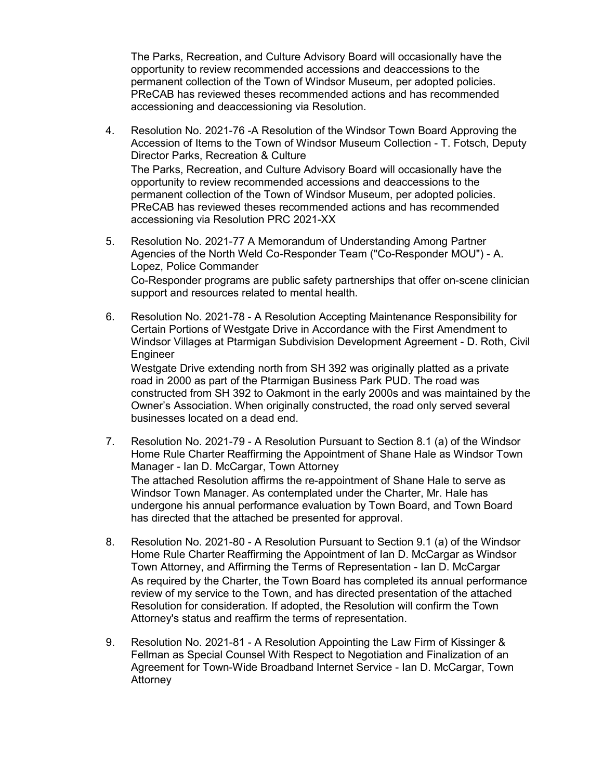The Parks, Recreation, and Culture Advisory Board will occasionally have the opportunity to review recommended accessions and deaccessions to the permanent collection of the Town of Windsor Museum, per adopted policies. PReCAB has reviewed theses recommended actions and has recommended accessioning and deaccessioning via Resolution.

- 4. Resolution No. 2021-76 -A Resolution of the Windsor Town Board Approving the Accession of Items to the Town of Windsor Museum Collection - T. Fotsch, Deputy Director Parks, Recreation & Culture The Parks, Recreation, and Culture Advisory Board will occasionally have the opportunity to review recommended accessions and deaccessions to the permanent collection of the Town of Windsor Museum, per adopted policies. PReCAB has reviewed theses recommended actions and has recommended accessioning via Resolution PRC 2021-XX
- 5. Resolution No. 2021-77 A Memorandum of Understanding Among Partner Agencies of the North Weld Co-Responder Team ("Co-Responder MOU") - A. Lopez, Police Commander Co-Responder programs are public safety partnerships that offer on-scene clinician support and resources related to mental health.
- 6. Resolution No. 2021-78 A Resolution Accepting Maintenance Responsibility for Certain Portions of Westgate Drive in Accordance with the First Amendment to Windsor Villages at Ptarmigan Subdivision Development Agreement - D. Roth, Civil Engineer

Westgate Drive extending north from SH 392 was originally platted as a private road in 2000 as part of the Ptarmigan Business Park PUD. The road was constructed from SH 392 to Oakmont in the early 2000s and was maintained by the Owner's Association. When originally constructed, the road only served several businesses located on a dead end.

- 7. Resolution No. 2021-79 A Resolution Pursuant to Section 8.1 (a) of the Windsor Home Rule Charter Reaffirming the Appointment of Shane Hale as Windsor Town Manager - Ian D. McCargar, Town Attorney The attached Resolution affirms the re-appointment of Shane Hale to serve as Windsor Town Manager. As contemplated under the Charter, Mr. Hale has undergone his annual performance evaluation by Town Board, and Town Board has directed that the attached be presented for approval.
- 8. Resolution No. 2021-80 A Resolution Pursuant to Section 9.1 (a) of the Windsor Home Rule Charter Reaffirming the Appointment of Ian D. McCargar as Windsor Town Attorney, and Affirming the Terms of Representation - Ian D. McCargar As required by the Charter, the Town Board has completed its annual performance review of my service to the Town, and has directed presentation of the attached Resolution for consideration. If adopted, the Resolution will confirm the Town Attorney's status and reaffirm the terms of representation.
- 9. Resolution No. 2021-81 A Resolution Appointing the Law Firm of Kissinger & Fellman as Special Counsel With Respect to Negotiation and Finalization of an Agreement for Town-Wide Broadband Internet Service - Ian D. McCargar, Town Attorney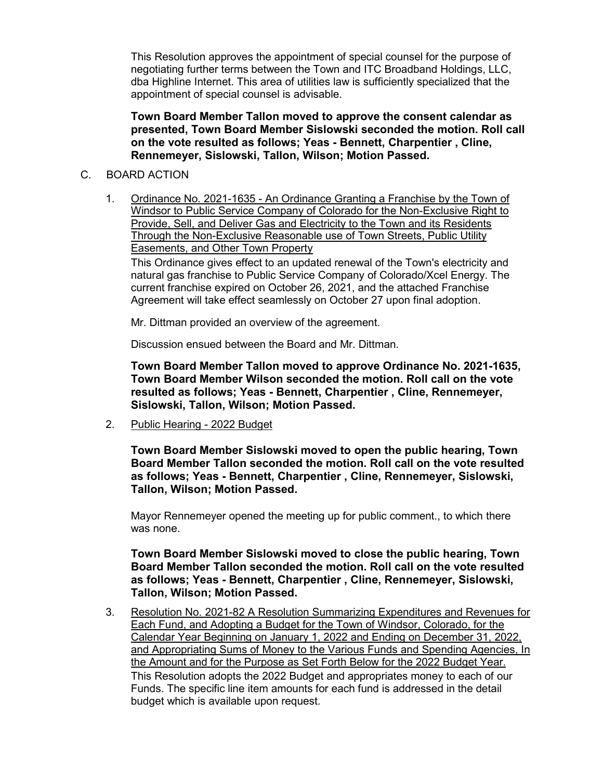This Resolution approves the appointment of special counsel for the purpose of negotiating further terms between the Town and ITC Broadband Holdings, LLC, dba Highline Internet. This area of utilities law is sufficiently specialized that the appointment of special counsel is advisable.

**Town Board Member Tallon moved to approve the consent calendar as presented, Town Board Member Sislowski seconded the motion. Roll call on the vote resulted as follows; Yeas - Bennett, Charpentier , Cline, Rennemeyer, Sislowski, Tallon, Wilson; Motion Passed.**

### C. BOARD ACTION

1. Ordinance No. 2021-1635 - An Ordinance Granting a Franchise by the Town of Windsor to Public Service Company of Colorado for the Non-Exclusive Right to Provide, Sell, and Deliver Gas and Electricity to the Town and its Residents Through the Non-Exclusive Reasonable use of Town Streets, Public Utility Easements, and Other Town Property

This Ordinance gives effect to an updated renewal of the Town's electricity and natural gas franchise to Public Service Company of Colorado/Xcel Energy. The current franchise expired on October 26, 2021, and the attached Franchise Agreement will take effect seamlessly on October 27 upon final adoption.

Mr. Dittman provided an overview of the agreement.

Discussion ensued between the Board and Mr. Dittman.

**Town Board Member Tallon moved to approve Ordinance No. 2021-1635, Town Board Member Wilson seconded the motion. Roll call on the vote resulted as follows; Yeas - Bennett, Charpentier , Cline, Rennemeyer, Sislowski, Tallon, Wilson; Motion Passed.**

2. Public Hearing - 2022 Budget

**Town Board Member Sislowski moved to open the public hearing, Town Board Member Tallon seconded the motion. Roll call on the vote resulted as follows; Yeas - Bennett, Charpentier , Cline, Rennemeyer, Sislowski, Tallon, Wilson; Motion Passed.**

Mayor Rennemeyer opened the meeting up for public comment., to which there was none.

**Town Board Member Sislowski moved to close the public hearing, Town Board Member Tallon seconded the motion. Roll call on the vote resulted as follows; Yeas - Bennett, Charpentier , Cline, Rennemeyer, Sislowski, Tallon, Wilson; Motion Passed.**

3. Resolution No. 2021-82 A Resolution Summarizing Expenditures and Revenues for Each Fund, and Adopting a Budget for the Town of Windsor, Colorado, for the Calendar Year Beginning on January 1, 2022 and Ending on December 31, 2022, and Appropriating Sums of Money to the Various Funds and Spending Agencies, In the Amount and for the Purpose as Set Forth Below for the 2022 Budget Year. This Resolution adopts the 2022 Budget and appropriates money to each of our Funds. The specific line item amounts for each fund is addressed in the detail budget which is available upon request.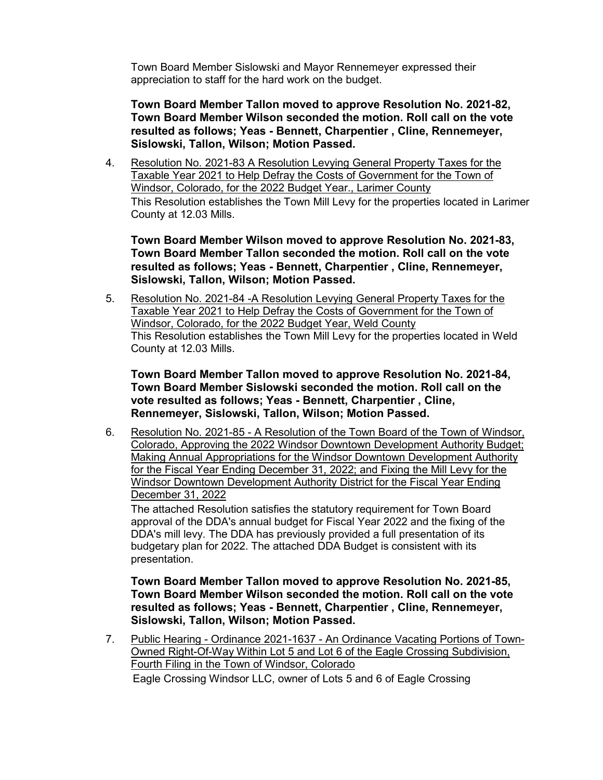Town Board Member Sislowski and Mayor Rennemeyer expressed their appreciation to staff for the hard work on the budget.

**Town Board Member Tallon moved to approve Resolution No. 2021-82, Town Board Member Wilson seconded the motion. Roll call on the vote resulted as follows; Yeas - Bennett, Charpentier , Cline, Rennemeyer, Sislowski, Tallon, Wilson; Motion Passed.**

4. Resolution No. 2021-83 A Resolution Levying General Property Taxes for the Taxable Year 2021 to Help Defray the Costs of Government for the Town of Windsor, Colorado, for the 2022 Budget Year., Larimer County This Resolution establishes the Town Mill Levy for the properties located in Larimer County at 12.03 Mills.

**Town Board Member Wilson moved to approve Resolution No. 2021-83, Town Board Member Tallon seconded the motion. Roll call on the vote resulted as follows; Yeas - Bennett, Charpentier , Cline, Rennemeyer, Sislowski, Tallon, Wilson; Motion Passed.**

5. Resolution No. 2021-84 -A Resolution Levying General Property Taxes for the Taxable Year 2021 to Help Defray the Costs of Government for the Town of Windsor, Colorado, for the 2022 Budget Year, Weld County This Resolution establishes the Town Mill Levy for the properties located in Weld County at 12.03 Mills.

**Town Board Member Tallon moved to approve Resolution No. 2021-84, Town Board Member Sislowski seconded the motion. Roll call on the vote resulted as follows; Yeas - Bennett, Charpentier , Cline, Rennemeyer, Sislowski, Tallon, Wilson; Motion Passed.**

6. Resolution No. 2021-85 - A Resolution of the Town Board of the Town of Windsor, Colorado, Approving the 2022 Windsor Downtown Development Authority Budget; Making Annual Appropriations for the Windsor Downtown Development Authority for the Fiscal Year Ending December 31, 2022; and Fixing the Mill Levy for the Windsor Downtown Development Authority District for the Fiscal Year Ending December 31, 2022

The attached Resolution satisfies the statutory requirement for Town Board approval of the DDA's annual budget for Fiscal Year 2022 and the fixing of the DDA's mill levy. The DDA has previously provided a full presentation of its budgetary plan for 2022. The attached DDA Budget is consistent with its presentation.

**Town Board Member Tallon moved to approve Resolution No. 2021-85, Town Board Member Wilson seconded the motion. Roll call on the vote resulted as follows; Yeas - Bennett, Charpentier , Cline, Rennemeyer, Sislowski, Tallon, Wilson; Motion Passed.**

7. Public Hearing - Ordinance 2021-1637 - An Ordinance Vacating Portions of Town-Owned Right-Of-Way Within Lot 5 and Lot 6 of the Eagle Crossing Subdivision, Fourth Filing in the Town of Windsor, Colorado

Eagle Crossing Windsor LLC, owner of Lots 5 and 6 of Eagle Crossing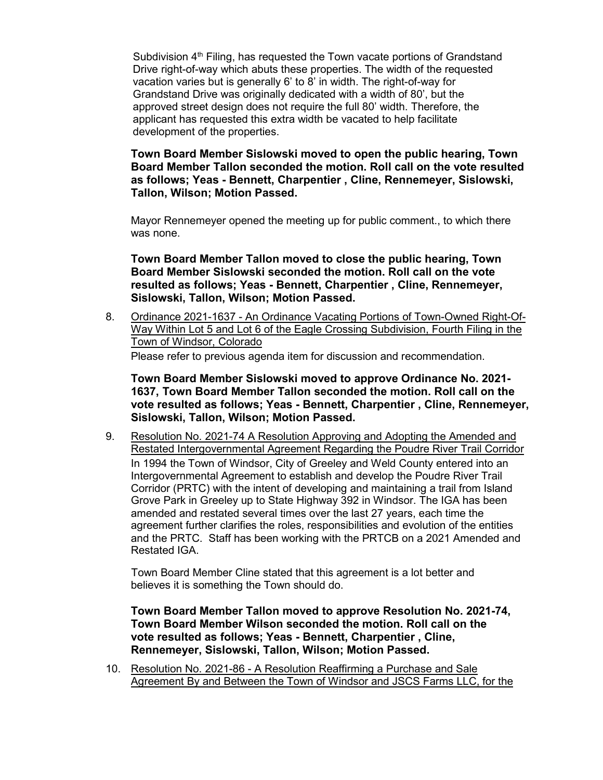Subdivision  $4<sup>th</sup>$  Filing, has requested the Town vacate portions of Grandstand Drive right-of-way which abuts these properties. The width of the requested vacation varies but is generally 6' to 8' in width. The right-of-way for Grandstand Drive was originally dedicated with a width of 80', but the approved street design does not require the full 80' width. Therefore, the applicant has requested this extra width be vacated to help facilitate development of the properties.

**Town Board Member Sislowski moved to open the public hearing, Town Board Member Tallon seconded the motion. Roll call on the vote resulted as follows; Yeas - Bennett, Charpentier , Cline, Rennemeyer, Sislowski, Tallon, Wilson; Motion Passed.**

Mayor Rennemeyer opened the meeting up for public comment., to which there was none.

**Town Board Member Tallon moved to close the public hearing, Town Board Member Sislowski seconded the motion. Roll call on the vote resulted as follows; Yeas - Bennett, Charpentier , Cline, Rennemeyer, Sislowski, Tallon, Wilson; Motion Passed.**

8. Ordinance 2021-1637 - An Ordinance Vacating Portions of Town-Owned Right-Of-Way Within Lot 5 and Lot 6 of the Eagle Crossing Subdivision, Fourth Filing in the Town of Windsor, Colorado

Please refer to previous agenda item for discussion and recommendation.

**Town Board Member Sislowski moved to approve Ordinance No. 2021- 1637, Town Board Member Tallon seconded the motion. Roll call on the vote resulted as follows; Yeas - Bennett, Charpentier , Cline, Rennemeyer, Sislowski, Tallon, Wilson; Motion Passed.**

9. Resolution No. 2021-74 A Resolution Approving and Adopting the Amended and Restated Intergovernmental Agreement Regarding the Poudre River Trail Corridor In 1994 the Town of Windsor, City of Greeley and Weld County entered into an Intergovernmental Agreement to establish and develop the Poudre River Trail Corridor (PRTC) with the intent of developing and maintaining a trail from Island Grove Park in Greeley up to State Highway 392 in Windsor. The IGA has been amended and restated several times over the last 27 years, each time the agreement further clarifies the roles, responsibilities and evolution of the entities and the PRTC. Staff has been working with the PRTCB on a 2021 Amended and Restated IGA.

Town Board Member Cline stated that this agreement is a lot better and believes it is something the Town should do.

**Town Board Member Tallon moved to approve Resolution No. 2021-74, Town Board Member Wilson seconded the motion. Roll call on the vote resulted as follows; Yeas - Bennett, Charpentier , Cline, Rennemeyer, Sislowski, Tallon, Wilson; Motion Passed.**

10. Resolution No. 2021-86 - A Resolution Reaffirming a Purchase and Sale Agreement By and Between the Town of Windsor and JSCS Farms LLC, for the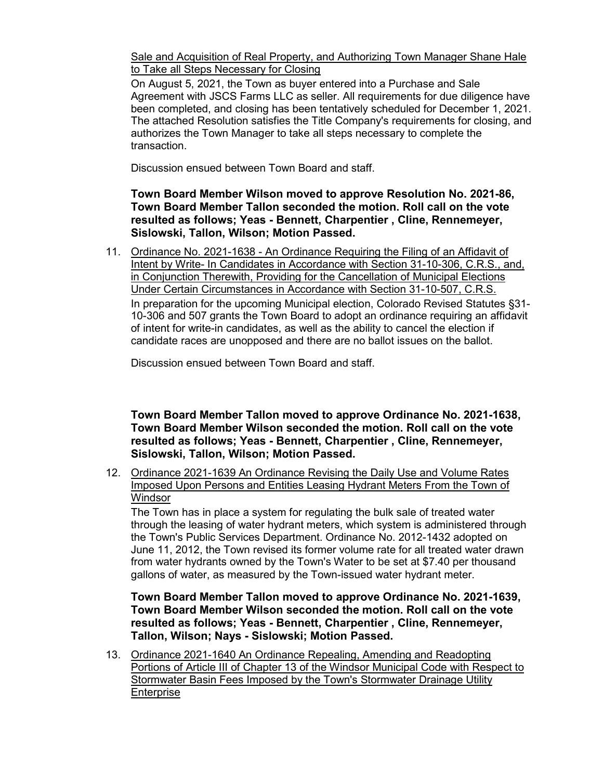Sale and Acquisition of Real Property, and Authorizing Town Manager Shane Hale to Take all Steps Necessary for Closing

On August 5, 2021, the Town as buyer entered into a Purchase and Sale Agreement with JSCS Farms LLC as seller. All requirements for due diligence have been completed, and closing has been tentatively scheduled for December 1, 2021. The attached Resolution satisfies the Title Company's requirements for closing, and authorizes the Town Manager to take all steps necessary to complete the transaction.

Discussion ensued between Town Board and staff.

**Town Board Member Wilson moved to approve Resolution No. 2021-86, Town Board Member Tallon seconded the motion. Roll call on the vote resulted as follows; Yeas - Bennett, Charpentier , Cline, Rennemeyer, Sislowski, Tallon, Wilson; Motion Passed.**

11. Ordinance No. 2021-1638 - An Ordinance Requiring the Filing of an Affidavit of Intent by Write- In Candidates in Accordance with Section 31-10-306, C.R.S., and, in Conjunction Therewith, Providing for the Cancellation of Municipal Elections Under Certain Circumstances in Accordance with Section 31-10-507, C.R.S. In preparation for the upcoming Municipal election, Colorado Revised Statutes §31- 10-306 and 507 grants the Town Board to adopt an ordinance requiring an affidavit of intent for write-in candidates, as well as the ability to cancel the election if candidate races are unopposed and there are no ballot issues on the ballot.

Discussion ensued between Town Board and staff.

**Town Board Member Tallon moved to approve Ordinance No. 2021-1638, Town Board Member Wilson seconded the motion. Roll call on the vote resulted as follows; Yeas - Bennett, Charpentier , Cline, Rennemeyer, Sislowski, Tallon, Wilson; Motion Passed.**

12. Ordinance 2021-1639 An Ordinance Revising the Daily Use and Volume Rates Imposed Upon Persons and Entities Leasing Hydrant Meters From the Town of **Windsor** 

The Town has in place a system for regulating the bulk sale of treated water through the leasing of water hydrant meters, which system is administered through the Town's Public Services Department. Ordinance No. 2012-1432 adopted on June 11, 2012, the Town revised its former volume rate for all treated water drawn from water hydrants owned by the Town's Water to be set at \$7.40 per thousand gallons of water, as measured by the Town-issued water hydrant meter.

**Town Board Member Tallon moved to approve Ordinance No. 2021-1639, Town Board Member Wilson seconded the motion. Roll call on the vote resulted as follows; Yeas - Bennett, Charpentier , Cline, Rennemeyer, Tallon, Wilson; Nays - Sislowski; Motion Passed.**

13. Ordinance 2021-1640 An Ordinance Repealing, Amending and Readopting Portions of Article III of Chapter 13 of the Windsor Municipal Code with Respect to Stormwater Basin Fees Imposed by the Town's Stormwater Drainage Utility **Enterprise**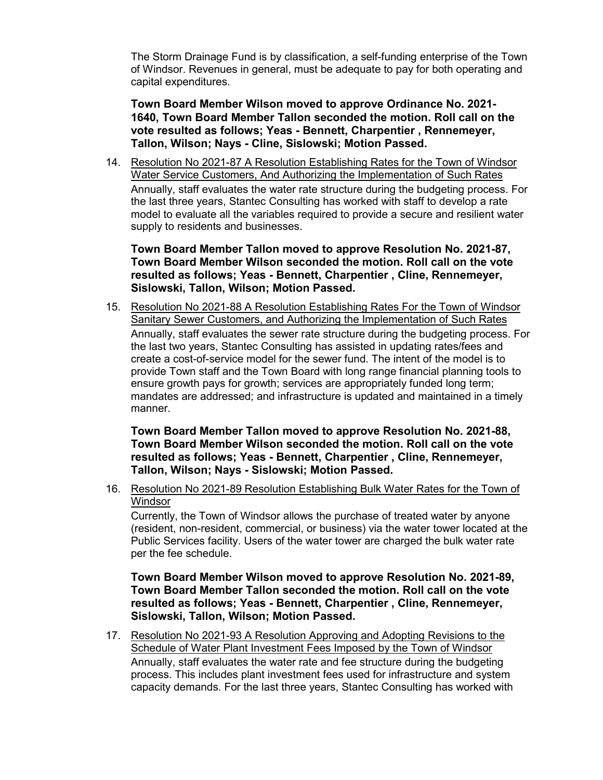The Storm Drainage Fund is by classification, a self-funding enterprise of the Town of Windsor. Revenues in general, must be adequate to pay for both operating and capital expenditures.

**Town Board Member Wilson moved to approve Ordinance No. 2021- 1640, Town Board Member Tallon seconded the motion. Roll call on the vote resulted as follows; Yeas - Bennett, Charpentier , Rennemeyer, Tallon, Wilson; Nays - Cline, Sislowski; Motion Passed.**

14. Resolution No 2021-87 A Resolution Establishing Rates for the Town of Windsor Water Service Customers, And Authorizing the Implementation of Such Rates Annually, staff evaluates the water rate structure during the budgeting process. For the last three years, Stantec Consulting has worked with staff to develop a rate model to evaluate all the variables required to provide a secure and resilient water supply to residents and businesses.

**Town Board Member Tallon moved to approve Resolution No. 2021-87, Town Board Member Wilson seconded the motion. Roll call on the vote resulted as follows; Yeas - Bennett, Charpentier , Cline, Rennemeyer, Sislowski, Tallon, Wilson; Motion Passed.**

15. Resolution No 2021-88 A Resolution Establishing Rates For the Town of Windsor Sanitary Sewer Customers, and Authorizing the Implementation of Such Rates Annually, staff evaluates the sewer rate structure during the budgeting process. For the last two years, Stantec Consulting has assisted in updating rates/fees and create a cost-of-service model for the sewer fund. The intent of the model is to provide Town staff and the Town Board with long range financial planning tools to ensure growth pays for growth; services are appropriately funded long term; mandates are addressed; and infrastructure is updated and maintained in a timely manner.

**Town Board Member Tallon moved to approve Resolution No. 2021-88, Town Board Member Wilson seconded the motion. Roll call on the vote resulted as follows; Yeas - Bennett, Charpentier , Cline, Rennemeyer, Tallon, Wilson; Nays - Sislowski; Motion Passed.**

16. Resolution No 2021-89 Resolution Establishing Bulk Water Rates for the Town of **Windsor** 

Currently, the Town of Windsor allows the purchase of treated water by anyone (resident, non-resident, commercial, or business) via the water tower located at the Public Services facility. Users of the water tower are charged the bulk water rate per the fee schedule.

**Town Board Member Wilson moved to approve Resolution No. 2021-89, Town Board Member Tallon seconded the motion. Roll call on the vote resulted as follows; Yeas - Bennett, Charpentier , Cline, Rennemeyer, Sislowski, Tallon, Wilson; Motion Passed.**

17. Resolution No 2021-93 A Resolution Approving and Adopting Revisions to the Schedule of Water Plant Investment Fees Imposed by the Town of Windsor

Annually, staff evaluates the water rate and fee structure during the budgeting process. This includes plant investment fees used for infrastructure and system capacity demands. For the last three years, Stantec Consulting has worked with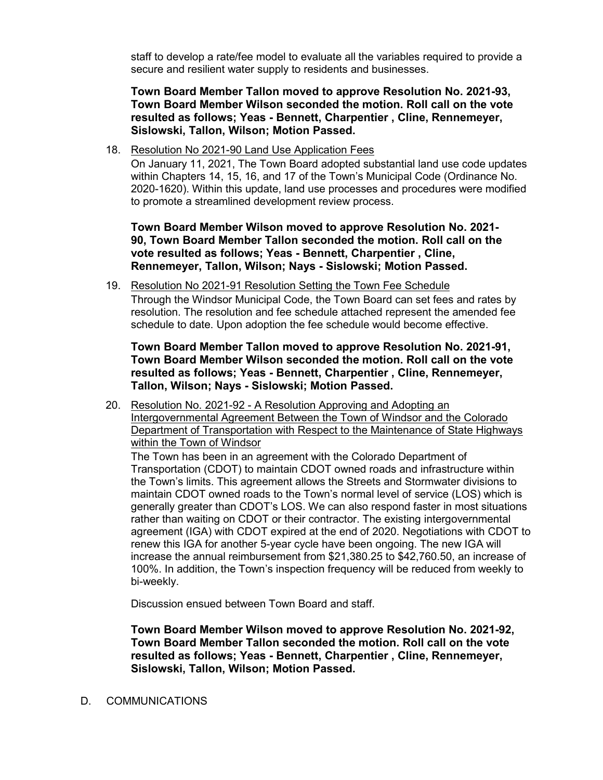staff to develop a rate/fee model to evaluate all the variables required to provide a secure and resilient water supply to residents and businesses.

**Town Board Member Tallon moved to approve Resolution No. 2021-93, Town Board Member Wilson seconded the motion. Roll call on the vote resulted as follows; Yeas - Bennett, Charpentier , Cline, Rennemeyer, Sislowski, Tallon, Wilson; Motion Passed.**

18. Resolution No 2021-90 Land Use Application Fees

On January 11, 2021, The Town Board adopted substantial land use code updates within Chapters 14, 15, 16, and 17 of the Town's Municipal Code (Ordinance No. 2020-1620). Within this update, land use processes and procedures were modified to promote a streamlined development review process.

**Town Board Member Wilson moved to approve Resolution No. 2021- 90, Town Board Member Tallon seconded the motion. Roll call on the vote resulted as follows; Yeas - Bennett, Charpentier , Cline, Rennemeyer, Tallon, Wilson; Nays - Sislowski; Motion Passed.**

19. Resolution No 2021-91 Resolution Setting the Town Fee Schedule Through the Windsor Municipal Code, the Town Board can set fees and rates by resolution. The resolution and fee schedule attached represent the amended fee schedule to date. Upon adoption the fee schedule would become effective.

**Town Board Member Tallon moved to approve Resolution No. 2021-91, Town Board Member Wilson seconded the motion. Roll call on the vote resulted as follows; Yeas - Bennett, Charpentier , Cline, Rennemeyer, Tallon, Wilson; Nays - Sislowski; Motion Passed.**

20. Resolution No. 2021-92 - A Resolution Approving and Adopting an Intergovernmental Agreement Between the Town of Windsor and the Colorado Department of Transportation with Respect to the Maintenance of State Highways within the Town of Windsor

The Town has been in an agreement with the Colorado Department of Transportation (CDOT) to maintain CDOT owned roads and infrastructure within the Town's limits. This agreement allows the Streets and Stormwater divisions to maintain CDOT owned roads to the Town's normal level of service (LOS) which is generally greater than CDOT's LOS. We can also respond faster in most situations rather than waiting on CDOT or their contractor. The existing intergovernmental agreement (IGA) with CDOT expired at the end of 2020. Negotiations with CDOT to renew this IGA for another 5-year cycle have been ongoing. The new IGA will increase the annual reimbursement from \$21,380.25 to \$42,760.50, an increase of 100%. In addition, the Town's inspection frequency will be reduced from weekly to bi-weekly.

Discussion ensued between Town Board and staff.

**Town Board Member Wilson moved to approve Resolution No. 2021-92, Town Board Member Tallon seconded the motion. Roll call on the vote resulted as follows; Yeas - Bennett, Charpentier , Cline, Rennemeyer, Sislowski, Tallon, Wilson; Motion Passed.**

#### D. COMMUNICATIONS